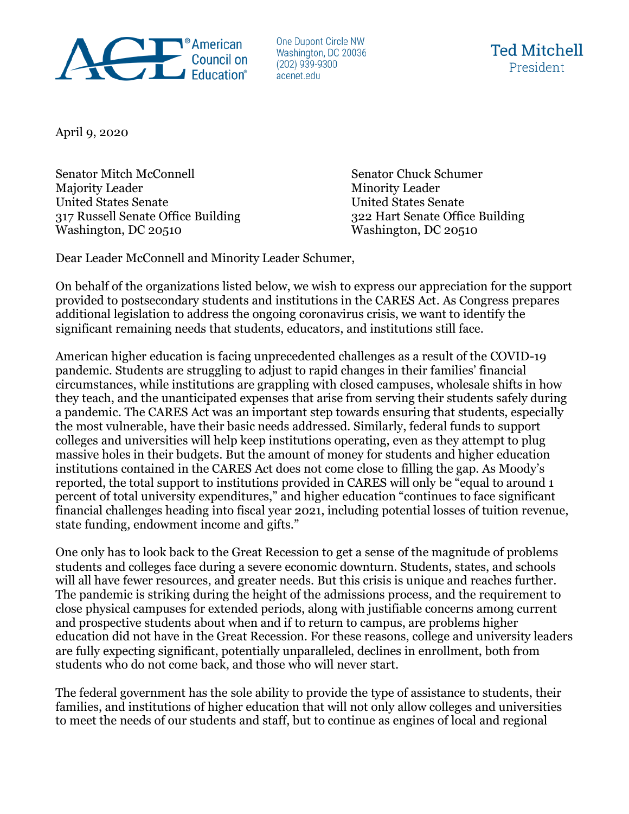

One Dupont Circle NW Washington, DC 20036  $(202)$  939-9300 acenet.edu



April 9, 2020

Senator Mitch McConnell Senator Chuck Schumer Majority Leader Minority Leader United States Senate United States Senate 317 Russell Senate Office Building 322 Hart Senate Office Building Washington, DC 20510 Washington, DC 20510

Dear Leader McConnell and Minority Leader Schumer,

On behalf of the organizations listed below, we wish to express our appreciation for the support provided to postsecondary students and institutions in the CARES Act. As Congress prepares additional legislation to address the ongoing coronavirus crisis, we want to identify the significant remaining needs that students, educators, and institutions still face.

American higher education is facing unprecedented challenges as a result of the COVID-19 pandemic. Students are struggling to adjust to rapid changes in their families' financial circumstances, while institutions are grappling with closed campuses, wholesale shifts in how they teach, and the unanticipated expenses that arise from serving their students safely during a pandemic. The CARES Act was an important step towards ensuring that students, especially the most vulnerable, have their basic needs addressed. Similarly, federal funds to support colleges and universities will help keep institutions operating, even as they attempt to plug massive holes in their budgets. But the amount of money for students and higher education institutions contained in the CARES Act does not come close to filling the gap. As Moody's reported, the total support to institutions provided in CARES will only be "equal to around 1 percent of total university expenditures," and higher education "continues to face significant financial challenges heading into fiscal year 2021, including potential losses of tuition revenue, state funding, endowment income and gifts."

One only has to look back to the Great Recession to get a sense of the magnitude of problems students and colleges face during a severe economic downturn. Students, states, and schools will all have fewer resources, and greater needs. But this crisis is unique and reaches further. The pandemic is striking during the height of the admissions process, and the requirement to close physical campuses for extended periods, along with justifiable concerns among current and prospective students about when and if to return to campus, are problems higher education did not have in the Great Recession. For these reasons, college and university leaders are fully expecting significant, potentially unparalleled, declines in enrollment, both from students who do not come back, and those who will never start.

The federal government has the sole ability to provide the type of assistance to students, their families, and institutions of higher education that will not only allow colleges and universities to meet the needs of our students and staff, but to continue as engines of local and regional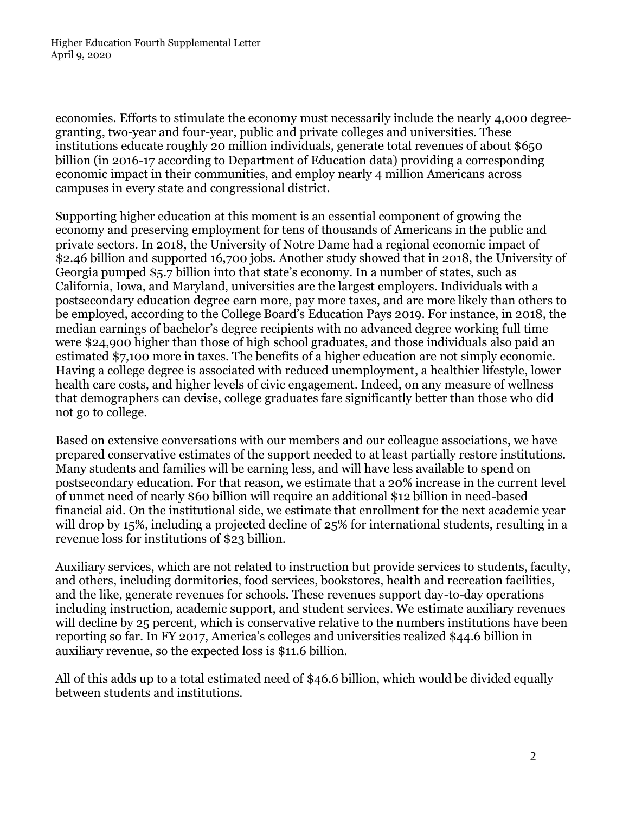economies. Efforts to stimulate the economy must necessarily include the nearly 4,000 degreegranting, two-year and four-year, public and private colleges and universities. These institutions educate roughly 20 million individuals, generate total revenues of about \$650 billion (in 2016-17 according to Department of Education data) providing a corresponding economic impact in their communities, and employ nearly 4 million Americans across campuses in every state and congressional district.

Supporting higher education at this moment is an essential component of growing the economy and preserving employment for tens of thousands of Americans in the public and private sectors. In 2018, the University of Notre Dame had a regional economic impact of \$2.46 billion and supported 16,700 jobs. Another study showed that in 2018, the University of Georgia pumped \$5.7 billion into that state's economy. In a number of states, such as California, Iowa, and Maryland, universities are the largest employers. Individuals with a postsecondary education degree earn more, pay more taxes, and are more likely than others to be employed, according to the College Board's Education Pays 2019. For instance, in 2018, the median earnings of bachelor's degree recipients with no advanced degree working full time were \$24,900 higher than those of high school graduates, and those individuals also paid an estimated \$7,100 more in taxes. The benefits of a higher education are not simply economic. Having a college degree is associated with reduced unemployment, a healthier lifestyle, lower health care costs, and higher levels of civic engagement. Indeed, on any measure of wellness that demographers can devise, college graduates fare significantly better than those who did not go to college.

Based on extensive conversations with our members and our colleague associations, we have prepared conservative estimates of the support needed to at least partially restore institutions. Many students and families will be earning less, and will have less available to spend on postsecondary education. For that reason, we estimate that a 20% increase in the current level of unmet need of nearly \$60 billion will require an additional \$12 billion in need-based financial aid. On the institutional side, we estimate that enrollment for the next academic year will drop by 15%, including a projected decline of 25% for international students, resulting in a revenue loss for institutions of \$23 billion.

Auxiliary services, which are not related to instruction but provide services to students, faculty, and others, including dormitories, food services, bookstores, health and recreation facilities, and the like, generate revenues for schools. These revenues support day-to-day operations including instruction, academic support, and student services. We estimate auxiliary revenues will decline by 25 percent, which is conservative relative to the numbers institutions have been reporting so far. In FY 2017, America's colleges and universities realized \$44.6 billion in auxiliary revenue, so the expected loss is \$11.6 billion.

All of this adds up to a total estimated need of \$46.6 billion, which would be divided equally between students and institutions.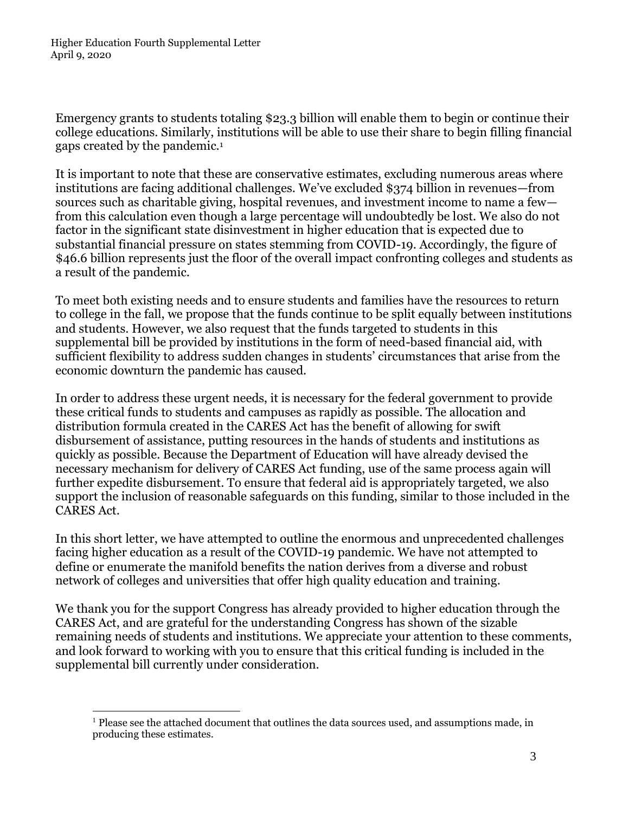Emergency grants to students totaling \$23.3 billion will enable them to begin or continue their college educations. Similarly, institutions will be able to use their share to begin filling financial gaps created by the pandemic.<sup>1</sup>

It is important to note that these are conservative estimates, excluding numerous areas where institutions are facing additional challenges. We've excluded \$374 billion in revenues—from sources such as charitable giving, hospital revenues, and investment income to name a few from this calculation even though a large percentage will undoubtedly be lost. We also do not factor in the significant state disinvestment in higher education that is expected due to substantial financial pressure on states stemming from COVID-19. Accordingly, the figure of \$46.6 billion represents just the floor of the overall impact confronting colleges and students as a result of the pandemic.

To meet both existing needs and to ensure students and families have the resources to return to college in the fall, we propose that the funds continue to be split equally between institutions and students. However, we also request that the funds targeted to students in this supplemental bill be provided by institutions in the form of need-based financial aid, with sufficient flexibility to address sudden changes in students' circumstances that arise from the economic downturn the pandemic has caused.

In order to address these urgent needs, it is necessary for the federal government to provide these critical funds to students and campuses as rapidly as possible. The allocation and distribution formula created in the CARES Act has the benefit of allowing for swift disbursement of assistance, putting resources in the hands of students and institutions as quickly as possible. Because the Department of Education will have already devised the necessary mechanism for delivery of CARES Act funding, use of the same process again will further expedite disbursement. To ensure that federal aid is appropriately targeted, we also support the inclusion of reasonable safeguards on this funding, similar to those included in the CARES Act.

In this short letter, we have attempted to outline the enormous and unprecedented challenges facing higher education as a result of the COVID-19 pandemic. We have not attempted to define or enumerate the manifold benefits the nation derives from a diverse and robust network of colleges and universities that offer high quality education and training.

We thank you for the support Congress has already provided to higher education through the CARES Act, and are grateful for the understanding Congress has shown of the sizable remaining needs of students and institutions. We appreciate your attention to these comments, and look forward to working with you to ensure that this critical funding is included in the supplemental bill currently under consideration.

 $<sup>1</sup>$  Please see the attached document that outlines the data sources used, and assumptions made, in</sup> producing these estimates.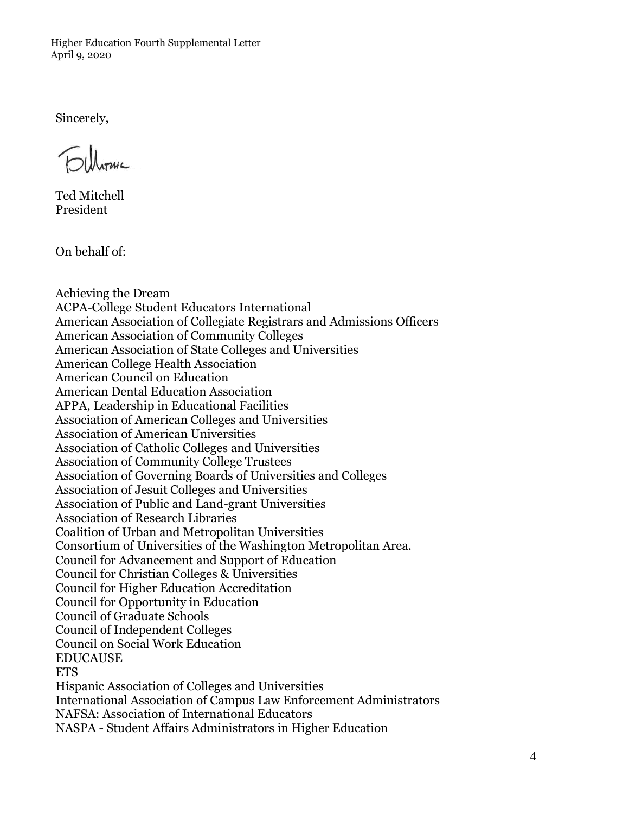Higher Education Fourth Supplemental Letter April 9, 2020

Sincerely,

Ted Mitchell President

On behalf of:

Achieving the Dream ACPA-College Student Educators International American Association of Collegiate Registrars and Admissions Officers American Association of Community Colleges American Association of State Colleges and Universities American College Health Association American Council on Education American Dental Education Association APPA, Leadership in Educational Facilities Association of American Colleges and Universities Association of American Universities Association of Catholic Colleges and Universities Association of Community College Trustees Association of Governing Boards of Universities and Colleges Association of Jesuit Colleges and Universities Association of Public and Land-grant Universities Association of Research Libraries Coalition of Urban and Metropolitan Universities Consortium of Universities of the Washington Metropolitan Area. Council for Advancement and Support of Education Council for Christian Colleges & Universities Council for Higher Education Accreditation Council for Opportunity in Education Council of Graduate Schools Council of Independent Colleges Council on Social Work Education **EDUCAUSE ETS** Hispanic Association of Colleges and Universities International Association of Campus Law Enforcement Administrators NAFSA: Association of International Educators NASPA - Student Affairs Administrators in Higher Education